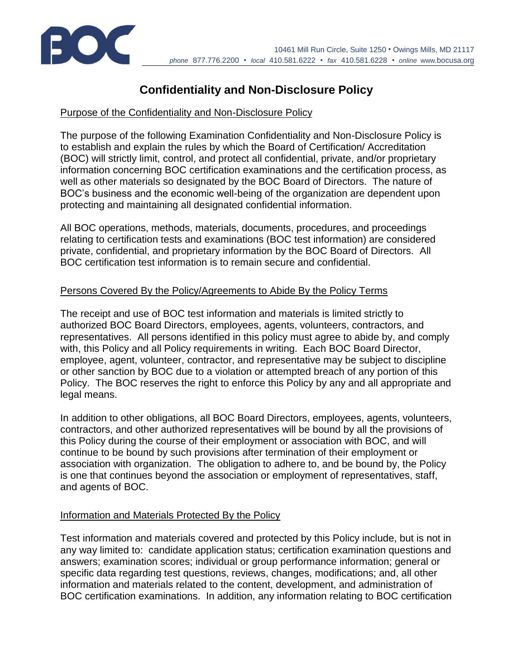

# **Confidentiality and Non-Disclosure Policy**

#### Purpose of the Confidentiality and Non-Disclosure Policy

The purpose of the following Examination Confidentiality and Non-Disclosure Policy is to establish and explain the rules by which the Board of Certification/ Accreditation (BOC) will strictly limit, control, and protect all confidential, private, and/or proprietary information concerning BOC certification examinations and the certification process, as well as other materials so designated by the BOC Board of Directors. The nature of BOC's business and the economic well-being of the organization are dependent upon protecting and maintaining all designated confidential information.

All BOC operations, methods, materials, documents, procedures, and proceedings relating to certification tests and examinations (BOC test information) are considered private, confidential, and proprietary information by the BOC Board of Directors. All BOC certification test information is to remain secure and confidential.

#### Persons Covered By the Policy/Agreements to Abide By the Policy Terms

The receipt and use of BOC test information and materials is limited strictly to authorized BOC Board Directors, employees, agents, volunteers, contractors, and representatives. All persons identified in this policy must agree to abide by, and comply with, this Policy and all Policy requirements in writing. Each BOC Board Director, employee, agent, volunteer, contractor, and representative may be subject to discipline or other sanction by BOC due to a violation or attempted breach of any portion of this Policy. The BOC reserves the right to enforce this Policy by any and all appropriate and legal means.

In addition to other obligations, all BOC Board Directors, employees, agents, volunteers, contractors, and other authorized representatives will be bound by all the provisions of this Policy during the course of their employment or association with BOC, and will continue to be bound by such provisions after termination of their employment or association with organization. The obligation to adhere to, and be bound by, the Policy is one that continues beyond the association or employment of representatives, staff, and agents of BOC.

### Information and Materials Protected By the Policy

Test information and materials covered and protected by this Policy include, but is not in any way limited to: candidate application status; certification examination questions and answers; examination scores; individual or group performance information; general or specific data regarding test questions, reviews, changes, modifications; and, all other information and materials related to the content, development, and administration of BOC certification examinations. In addition, any information relating to BOC certification